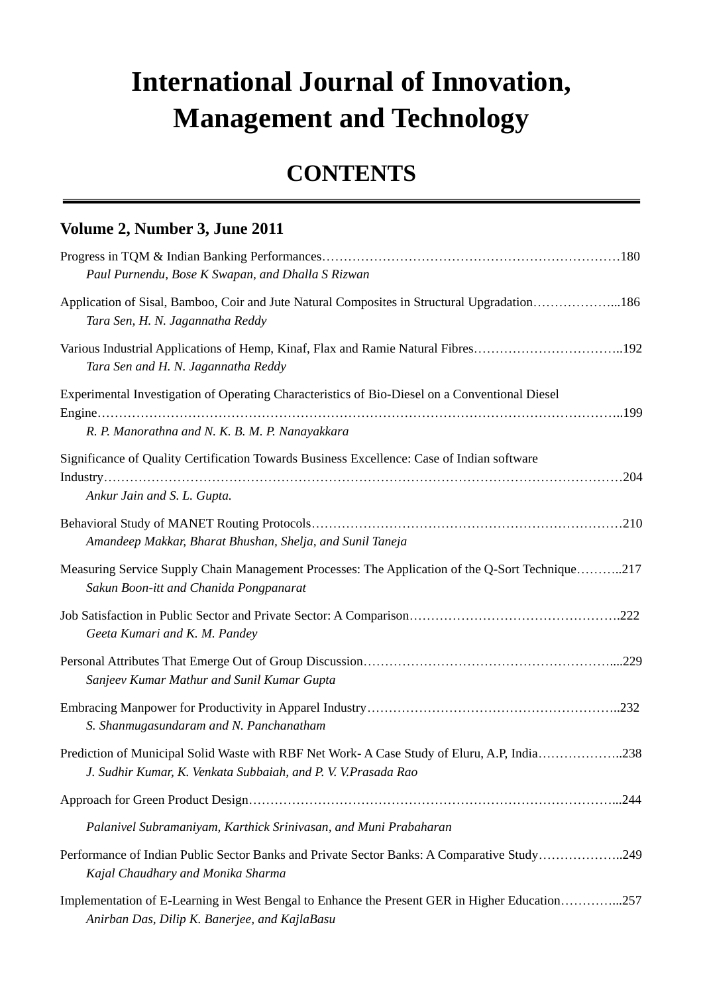## **International Journal of Innovation, Management and Technology**

## **CONTENTS**

## **Volume 2, Number 3, June 2011**

| Paul Purnendu, Bose K Swapan, and Dhalla S Rizwan                                                                                                           |      |
|-------------------------------------------------------------------------------------------------------------------------------------------------------------|------|
| Application of Sisal, Bamboo, Coir and Jute Natural Composites in Structural Upgradation186<br>Tara Sen, H. N. Jagannatha Reddy                             |      |
| Various Industrial Applications of Hemp, Kinaf, Flax and Ramie Natural Fibres192<br>Tara Sen and H. N. Jagannatha Reddy                                     |      |
| Experimental Investigation of Operating Characteristics of Bio-Diesel on a Conventional Diesel                                                              |      |
| R. P. Manorathna and N. K. B. M. P. Nanayakkara                                                                                                             |      |
| Significance of Quality Certification Towards Business Excellence: Case of Indian software<br>Ankur Jain and S. L. Gupta.                                   |      |
| Amandeep Makkar, Bharat Bhushan, Shelja, and Sunil Taneja                                                                                                   |      |
| Measuring Service Supply Chain Management Processes: The Application of the Q-Sort Technique217<br>Sakun Boon-itt and Chanida Pongpanarat                   |      |
| Geeta Kumari and K. M. Pandey                                                                                                                               |      |
| Sanjeev Kumar Mathur and Sunil Kumar Gupta                                                                                                                  |      |
| S. Shanmugasundaram and N. Panchanatham                                                                                                                     |      |
| Prediction of Municipal Solid Waste with RBF Net Work-A Case Study of Eluru, A.P, India238<br>J. Sudhir Kumar, K. Venkata Subbaiah, and P. V. V.Prasada Rao |      |
|                                                                                                                                                             | .244 |
| Palanivel Subramaniyam, Karthick Srinivasan, and Muni Prabaharan                                                                                            |      |
| Performance of Indian Public Sector Banks and Private Sector Banks: A Comparative Study249<br>Kajal Chaudhary and Monika Sharma                             |      |
| Implementation of E-Learning in West Bengal to Enhance the Present GER in Higher Education257<br>Anirban Das, Dilip K. Banerjee, and KajlaBasu              |      |